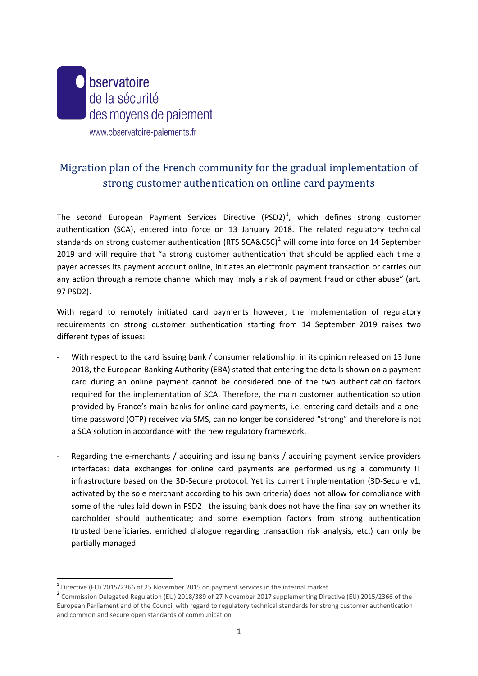

# Migration plan of the French community for the gradual implementation of strong customer authentication on online card payments

The second European Payment Services Directive  $(PSD2)^1$  $(PSD2)^1$ , which defines strong customer authentication (SCA), entered into force on 13 January 2018. The related regulatory technical standards on strong customer authentication (RTS SCA&CSC)<sup>[2](#page-0-1)</sup> will come into force on 14 September 2019 and will require that "a strong customer authentication that should be applied each time a payer accesses its payment account online, initiates an electronic payment transaction or carries out any action through a remote channel which may imply a risk of payment fraud or other abuse" (art. 97 PSD2).

With regard to remotely initiated card payments however, the implementation of regulatory requirements on strong customer authentication starting from 14 September 2019 raises two different types of issues:

- With respect to the card issuing bank / consumer relationship: in its opinion released on 13 June 2018, the European Banking Authority (EBA) stated that entering the details shown on a payment card during an online payment cannot be considered one of the two authentication factors required for the implementation of SCA. Therefore, the main customer authentication solution provided by France's main banks for online card payments, i.e. entering card details and a onetime password (OTP) received via SMS, can no longer be considered "strong" and therefore is not a SCA solution in accordance with the new regulatory framework.
- Regarding the e-merchants / acquiring and issuing banks / acquiring payment service providers interfaces: data exchanges for online card payments are performed using a community IT infrastructure based on the 3D-Secure protocol. Yet its current implementation (3D-Secure v1, activated by the sole merchant according to his own criteria) does not allow for compliance with some of the rules laid down in PSD2 : the issuing bank does not have the final say on whether its cardholder should authenticate; and some exemption factors from strong authentication (trusted beneficiaries, enriched dialogue regarding transaction risk analysis, etc.) can only be partially managed.

<span id="page-0-0"></span> <sup>1</sup> Directive (EU) 2015/2366 of 25 November 2015 on payment services in the internal market

<span id="page-0-1"></span><sup>2</sup> Commission Delegated Regulation (EU) 2018/389 of 27 November 2017 supplementing Directive (EU) 2015/2366 of the European Parliament and of the Council with regard to regulatory technical standards for strong customer authentication and common and secure open standards of communication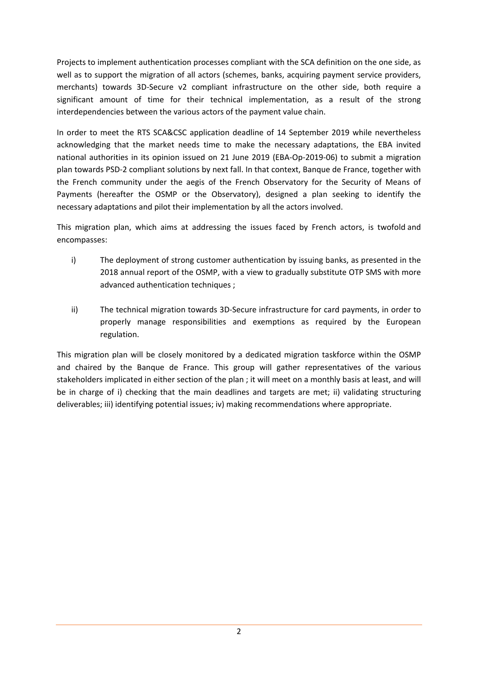Projects to implement authentication processes compliant with the SCA definition on the one side, as well as to support the migration of all actors (schemes, banks, acquiring payment service providers, merchants) towards 3D-Secure v2 compliant infrastructure on the other side, both require a significant amount of time for their technical implementation, as a result of the strong interdependencies between the various actors of the payment value chain.

In order to meet the RTS SCA&CSC application deadline of 14 September 2019 while nevertheless acknowledging that the market needs time to make the necessary adaptations, the EBA invited national authorities in its opinion issued on 21 June 2019 (EBA-Op-2019-06) to submit a migration plan towards PSD-2 compliant solutions by next fall. In that context, Banque de France, together with the French community under the aegis of the French Observatory for the Security of Means of Payments (hereafter the OSMP or the Observatory), designed a plan seeking to identify the necessary adaptations and pilot their implementation by all the actors involved.

This migration plan, which aims at addressing the issues faced by French actors, is twofold and encompasses:

- i) The deployment of strong customer authentication by issuing banks, as presented in the 2018 annual report of the OSMP, with a view to gradually substitute OTP SMS with more advanced authentication techniques ;
- ii) The technical migration towards 3D-Secure infrastructure for card payments, in order to properly manage responsibilities and exemptions as required by the European regulation.

This migration plan will be closely monitored by a dedicated migration taskforce within the OSMP and chaired by the Banque de France. This group will gather representatives of the various stakeholders implicated in either section of the plan ; it will meet on a monthly basis at least, and will be in charge of i) checking that the main deadlines and targets are met; ii) validating structuring deliverables; iii) identifying potential issues; iv) making recommendations where appropriate.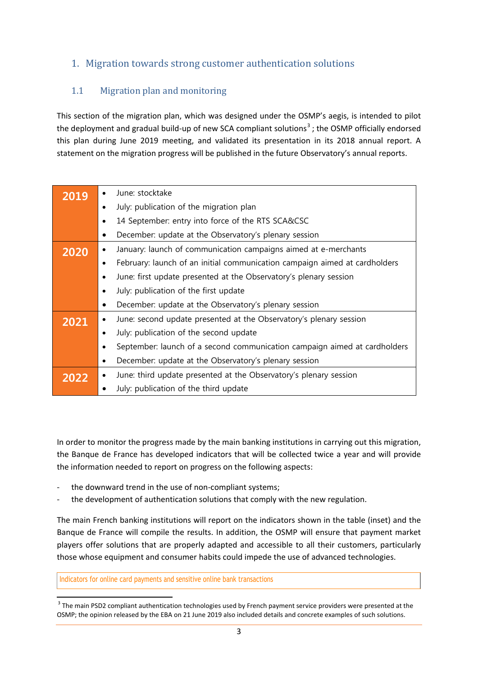# 1. Migration towards strong customer authentication solutions

# 1.1 Migration plan and monitoring

This section of the migration plan, which was designed under the OSMP's aegis, is intended to pilot the deployment and gradual build-up of new SCA compliant solutions<sup>[3](#page-2-0)</sup>; the OSMP officially endorsed this plan during June 2019 meeting, and validated its presentation in its 2018 annual report. A statement on the migration progress will be published in the future Observatory's annual reports.

| 2019 | $\bullet$ | June: stocktake                                                            |
|------|-----------|----------------------------------------------------------------------------|
|      | $\bullet$ | July: publication of the migration plan                                    |
|      | $\bullet$ | 14 September: entry into force of the RTS SCA&CSC                          |
|      | ٠         | December: update at the Observatory's plenary session                      |
| 2020 | $\bullet$ | January: launch of communication campaigns aimed at e-merchants            |
|      | $\bullet$ | February: launch of an initial communication campaign aimed at cardholders |
|      | $\bullet$ | June: first update presented at the Observatory's plenary session          |
|      | $\bullet$ | July: publication of the first update                                      |
|      | ٠         | December: update at the Observatory's plenary session                      |
| 2021 | $\bullet$ | June: second update presented at the Observatory's plenary session         |
|      | $\bullet$ | July: publication of the second update                                     |
|      | $\bullet$ | September: launch of a second communication campaign aimed at cardholders  |
|      | $\bullet$ | December: update at the Observatory's plenary session                      |
| 2022 | $\bullet$ | June: third update presented at the Observatory's plenary session          |
|      |           | July: publication of the third update                                      |

In order to monitor the progress made by the main banking institutions in carrying out this migration, the Banque de France has developed indicators that will be collected twice a year and will provide the information needed to report on progress on the following aspects:

- the downward trend in the use of non-compliant systems;
- the development of authentication solutions that comply with the new regulation.

The main French banking institutions will report on the indicators shown in the table (inset) and the Banque de France will compile the results. In addition, the OSMP will ensure that payment market players offer solutions that are properly adapted and accessible to all their customers, particularly those whose equipment and consumer habits could impede the use of advanced technologies.

Indicators for online card payments and sensitive online bank transactions

<span id="page-2-0"></span><sup>&</sup>lt;sup>3</sup> The main PSD2 compliant authentication technologies used by French payment service providers were presented at the OSMP; the opinion released by the EBA on 21 June 2019 also included details and concrete examples of such solutions.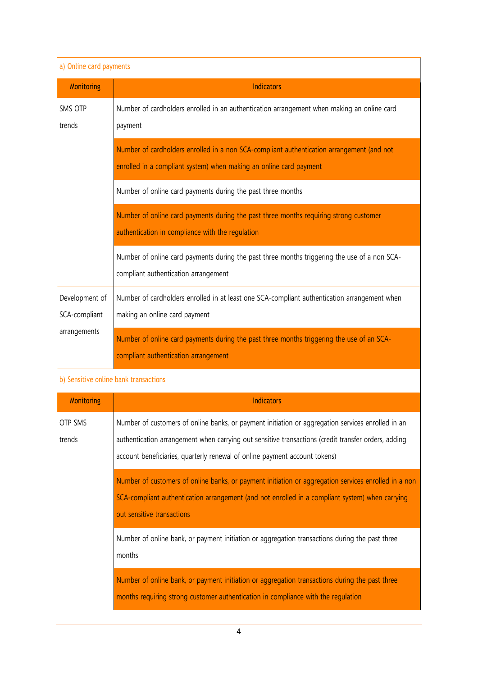| a) Online card payments               |                                                                                                                                                                                                                                                                                        |  |  |
|---------------------------------------|----------------------------------------------------------------------------------------------------------------------------------------------------------------------------------------------------------------------------------------------------------------------------------------|--|--|
| <b>Monitoring</b>                     | <b>Indicators</b>                                                                                                                                                                                                                                                                      |  |  |
| SMS OTP<br>trends                     | Number of cardholders enrolled in an authentication arrangement when making an online card<br>payment                                                                                                                                                                                  |  |  |
|                                       | Number of cardholders enrolled in a non SCA-compliant authentication arrangement (and not<br>enrolled in a compliant system) when making an online card payment                                                                                                                        |  |  |
|                                       | Number of online card payments during the past three months                                                                                                                                                                                                                            |  |  |
|                                       | Number of online card payments during the past three months requiring strong customer<br>authentication in compliance with the regulation                                                                                                                                              |  |  |
|                                       | Number of online card payments during the past three months triggering the use of a non SCA-<br>compliant authentication arrangement                                                                                                                                                   |  |  |
| Development of<br>SCA-compliant       | Number of cardholders enrolled in at least one SCA-compliant authentication arrangement when<br>making an online card payment                                                                                                                                                          |  |  |
| arrangements                          | Number of online card payments during the past three months triggering the use of an SCA-<br>compliant authentication arrangement                                                                                                                                                      |  |  |
| b) Sensitive online bank transactions |                                                                                                                                                                                                                                                                                        |  |  |
| Monitoring                            | <b>Indicators</b>                                                                                                                                                                                                                                                                      |  |  |
| <b>OTP SMS</b><br>trends              | Number of customers of online banks, or payment initiation or aggregation services enrolled in an<br>authentication arrangement when carrying out sensitive transactions (credit transfer orders, adding<br>account beneficiaries, quarterly renewal of online payment account tokens) |  |  |
|                                       | Number of customers of online banks, or payment initiation or aggregation services enrolled in a non<br>SCA-compliant authentication arrangement (and not enrolled in a compliant system) when carrying<br>out sensitive transactions                                                  |  |  |
|                                       | Number of online bank, or payment initiation or aggregation transactions during the past three<br>months                                                                                                                                                                               |  |  |
|                                       | Number of online bank, or payment initiation or aggregation transactions during the past three<br>months requiring strong customer authentication in compliance with the regulation                                                                                                    |  |  |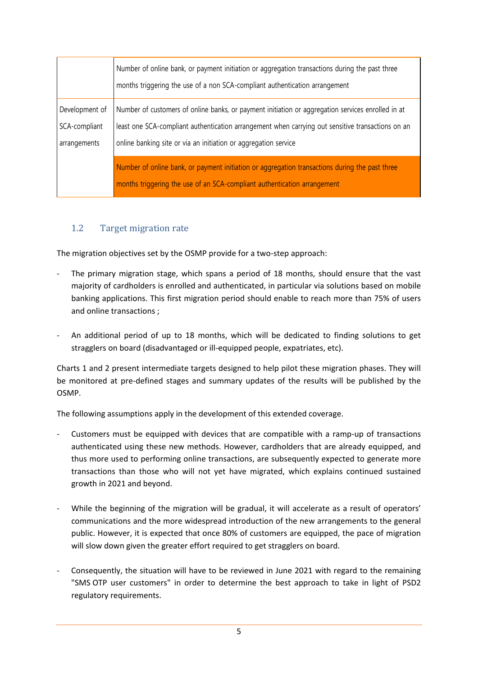|                | Number of online bank, or payment initiation or aggregation transactions during the past three<br>months triggering the use of a non SCA-compliant authentication arrangement |
|----------------|-------------------------------------------------------------------------------------------------------------------------------------------------------------------------------|
| Development of | Number of customers of online banks, or payment initiation or aggregation services enrolled in at                                                                             |
| SCA-compliant  | least one SCA-compliant authentication arrangement when carrying out sensitive transactions on an                                                                             |
| arrangements   | online banking site or via an initiation or aggregation service                                                                                                               |
|                | Number of online bank, or payment initiation or aggregation transactions during the past three                                                                                |
|                | months triggering the use of an SCA-compliant authentication arrangement                                                                                                      |

#### 1.2 Target migration rate

The migration objectives set by the OSMP provide for a two-step approach:

- The primary migration stage, which spans a period of 18 months, should ensure that the vast majority of cardholders is enrolled and authenticated, in particular via solutions based on mobile banking applications. This first migration period should enable to reach more than 75% of users and online transactions ;
- An additional period of up to 18 months, which will be dedicated to finding solutions to get stragglers on board (disadvantaged or ill-equipped people, expatriates, etc).

Charts 1 and 2 present intermediate targets designed to help pilot these migration phases. They will be monitored at pre-defined stages and summary updates of the results will be published by the OSMP.

The following assumptions apply in the development of this extended coverage.

- Customers must be equipped with devices that are compatible with a ramp-up of transactions authenticated using these new methods. However, cardholders that are already equipped, and thus more used to performing online transactions, are subsequently expected to generate more transactions than those who will not yet have migrated, which explains continued sustained growth in 2021 and beyond.
- While the beginning of the migration will be gradual, it will accelerate as a result of operators' communications and the more widespread introduction of the new arrangements to the general public. However, it is expected that once 80% of customers are equipped, the pace of migration will slow down given the greater effort required to get stragglers on board.
- Consequently, the situation will have to be reviewed in June 2021 with regard to the remaining "SMS OTP user customers" in order to determine the best approach to take in light of PSD2 regulatory requirements.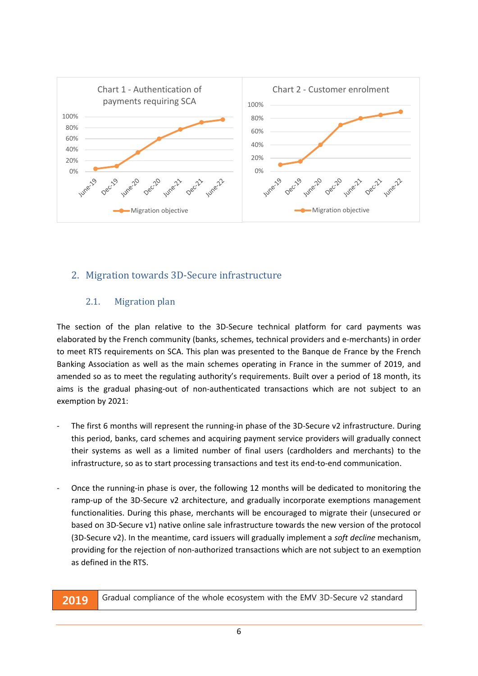

# 2. Migration towards 3D-Secure infrastructure

#### 2.1. Migration plan

The section of the plan relative to the 3D-Secure technical platform for card payments was elaborated by the French community (banks, schemes, technical providers and e-merchants) in order to meet RTS requirements on SCA. This plan was presented to the Banque de France by the French Banking Association as well as the main schemes operating in France in the summer of 2019, and amended so as to meet the regulating authority's requirements. Built over a period of 18 month, its aims is the gradual phasing-out of non-authenticated transactions which are not subject to an exemption by 2021:

- The first 6 months will represent the running-in phase of the 3D-Secure v2 infrastructure. During this period, banks, card schemes and acquiring payment service providers will gradually connect their systems as well as a limited number of final users (cardholders and merchants) to the infrastructure, so as to start processing transactions and test its end-to-end communication.
- Once the running-in phase is over, the following 12 months will be dedicated to monitoring the ramp-up of the 3D-Secure v2 architecture, and gradually incorporate exemptions management functionalities. During this phase, merchants will be encouraged to migrate their (unsecured or based on 3D-Secure v1) native online sale infrastructure towards the new version of the protocol (3D-Secure v2). In the meantime, card issuers will gradually implement a *soft decline* mechanism, providing for the rejection of non-authorized transactions which are not subject to an exemption as defined in the RTS.

**2019** Gradual compliance of the whole ecosystem with the EMV 3D-Secure v2 standard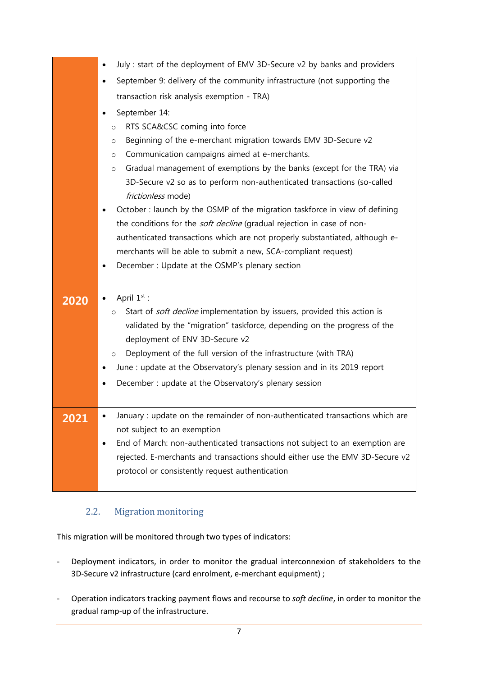|      | July : start of the deployment of EMV 3D-Secure v2 by banks and providers<br>$\bullet$ |
|------|----------------------------------------------------------------------------------------|
|      | September 9: delivery of the community infrastructure (not supporting the<br>٠         |
|      | transaction risk analysis exemption - TRA)                                             |
|      | September 14:                                                                          |
|      | RTS SCA&CSC coming into force<br>$\circ$                                               |
|      | Beginning of the e-merchant migration towards EMV 3D-Secure v2<br>$\circ$              |
|      | Communication campaigns aimed at e-merchants.<br>$\circ$                               |
|      | Gradual management of exemptions by the banks (except for the TRA) via<br>$\circ$      |
|      | 3D-Secure v2 so as to perform non-authenticated transactions (so-called                |
|      | frictionless mode)                                                                     |
|      | October : launch by the OSMP of the migration taskforce in view of defining            |
|      | the conditions for the <i>soft decline</i> (gradual rejection in case of non-          |
|      | authenticated transactions which are not properly substantiated, although e-           |
|      | merchants will be able to submit a new, SCA-compliant request)                         |
|      | December: Update at the OSMP's plenary section<br>٠                                    |
|      |                                                                                        |
|      |                                                                                        |
| 2020 | April $1^{st}$ :                                                                       |
|      | Start of soft decline implementation by issuers, provided this action is<br>$\circ$    |
|      | validated by the "migration" taskforce, depending on the progress of the               |
|      | deployment of ENV 3D-Secure v2                                                         |
|      | Deployment of the full version of the infrastructure (with TRA)<br>$\circ$             |
|      | June : update at the Observatory's plenary session and in its 2019 report              |
|      | December : update at the Observatory's plenary session                                 |
|      |                                                                                        |
| 2021 | January : update on the remainder of non-authenticated transactions which are          |
|      | not subject to an exemption                                                            |
|      | End of March: non-authenticated transactions not subject to an exemption are           |
|      | rejected. E-merchants and transactions should either use the EMV 3D-Secure v2          |
|      | protocol or consistently request authentication                                        |

# 2.2. Migration monitoring

This migration will be monitored through two types of indicators:

- Deployment indicators, in order to monitor the gradual interconnexion of stakeholders to the 3D-Secure v2 infrastructure (card enrolment, e-merchant equipment) ;
- Operation indicators tracking payment flows and recourse to *soft decline*, in order to monitor the gradual ramp-up of the infrastructure.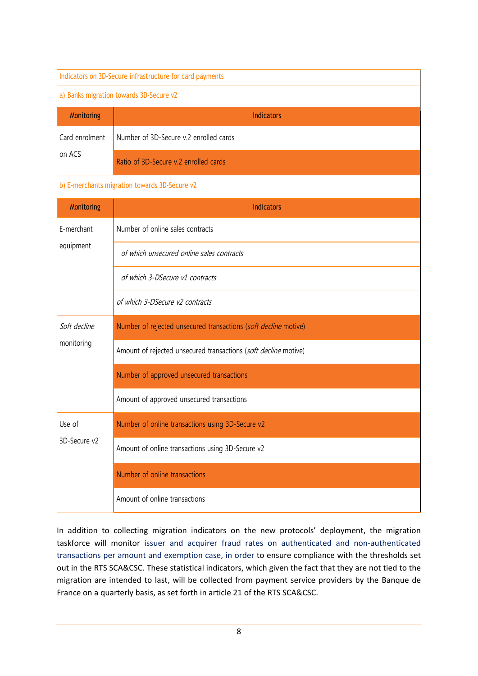| Indicators on 3D-Secure infrastructure for card payments |                                                                 |  |  |
|----------------------------------------------------------|-----------------------------------------------------------------|--|--|
| a) Banks migration towards 3D-Secure v2                  |                                                                 |  |  |
| Monitoring                                               | <b>Indicators</b>                                               |  |  |
| Card enrolment                                           | Number of 3D-Secure v.2 enrolled cards                          |  |  |
| on ACS                                                   | Ratio of 3D-Secure v.2 enrolled cards                           |  |  |
| b) E-merchants migration towards 3D-Secure v2            |                                                                 |  |  |
| Monitoring                                               | <b>Indicators</b>                                               |  |  |
| E-merchant                                               | Number of online sales contracts                                |  |  |
| equipment                                                | of which unsecured online sales contracts                       |  |  |
|                                                          | of which 3-DSecure v1 contracts                                 |  |  |
|                                                          | of which 3-DSecure v2 contracts                                 |  |  |
| Soft decline                                             | Number of rejected unsecured transactions (soft decline motive) |  |  |
| monitoring                                               | Amount of rejected unsecured transactions (soft decline motive) |  |  |
|                                                          | Number of approved unsecured transactions                       |  |  |
|                                                          | Amount of approved unsecured transactions                       |  |  |
| Use of                                                   | Number of online transactions using 3D-Secure v2                |  |  |
| 3D-Secure v2                                             | Amount of online transactions using 3D-Secure v2                |  |  |
|                                                          | Number of online transactions                                   |  |  |
|                                                          | Amount of online transactions                                   |  |  |

In addition to collecting migration indicators on the new protocols' deployment, the migration taskforce will monitor issuer and acquirer fraud rates on authenticated and non-authenticated transactions per amount and exemption case, in order to ensure compliance with the thresholds set out in the RTS SCA&CSC. These statistical indicators, which given the fact that they are not tied to the migration are intended to last, will be collected from payment service providers by the Banque de France on a quarterly basis, as set forth in article 21 of the RTS SCA&CSC.